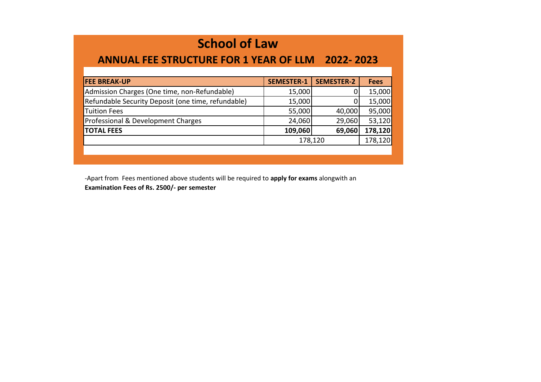## **School of Law**

## **ANNUAL FEE STRUCTURE FOR 1 YEAR OF LLM 2022- 2023**

| <b>FEE BREAK-UP</b>                                | <b>SEMESTER-1</b> | <b>SEMESTER-2</b> | <b>Fees</b> |
|----------------------------------------------------|-------------------|-------------------|-------------|
| Admission Charges (One time, non-Refundable)       | 15,000            | 0                 | 15,000      |
| Refundable Security Deposit (one time, refundable) | 15,000            |                   | 15,000      |
| <b>Tuition Fees</b>                                | 55,000            | 40,000            | 95,000      |
| Professional & Development Charges                 | 24,060            | 29,060            | 53,120      |
| <b>TOTAL FEES</b>                                  | 109,060           | 69,060            | 178,120     |
|                                                    |                   | 178,120           | 178,120     |
|                                                    |                   |                   |             |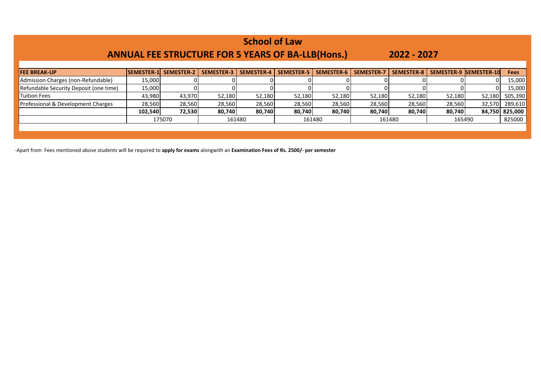| <b>School of Law</b><br><b>ANNUAL FEE STRUCTURE FOR 5 YEARS OF BA-LLB(Hons.)</b><br>2022 - 2027 |                   |                   |                   |                   |                   |                   |                   |            |        |                        |                |
|-------------------------------------------------------------------------------------------------|-------------------|-------------------|-------------------|-------------------|-------------------|-------------------|-------------------|------------|--------|------------------------|----------------|
| <b>FEE BREAK-UP</b>                                                                             | <b>SEMESTER-1</b> | <b>SEMESTER-2</b> | <b>SEMESTER-3</b> | <b>SEMESTER-4</b> | <b>SEMESTER-5</b> | <b>SEMESTER-6</b> | <b>SEMESTER-7</b> | SEMESTER-8 |        | SEMESTER-9 SEMESTER-10 | <b>Fees</b>    |
| Admission Charges (non-Refundable)                                                              | 15,000            |                   |                   |                   |                   |                   |                   |            |        |                        | 15,000         |
| Refundable Security Deposit (one time)                                                          | 15,000            |                   |                   |                   |                   |                   |                   |            |        |                        | 15,000         |
| Tuition Fees                                                                                    | 43,980            | 43,970            | 52,180            | 52,180            | 52,180            | 52,180            | 52,180            | 52,180     | 52,180 | 52,180                 | 505,390        |
| Professional & Development Charges                                                              | 28,560            | 28,560            | 28,560            | 28,560            | 28,560            | 28,560            | 28,560            | 28,560     | 28,560 | 32,570                 | 289,610        |
|                                                                                                 | 102,540           | 72,530            | 80,740            | 80,740            | 80,740            | 80,740            | 80,740            | 80,740     | 80,740 |                        | 84,750 825,000 |
|                                                                                                 |                   | 175070            | 161480            |                   | 161480            |                   | 161480            |            | 165490 |                        | 825000         |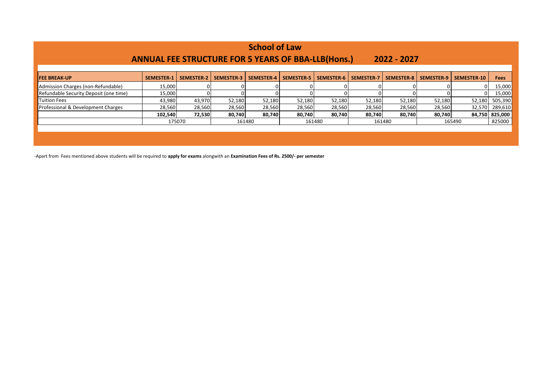| <b>School of Law</b> |                   |                                                           |                            |                            |                   |                            |                                                                                         |            |             |                                      |
|----------------------|-------------------|-----------------------------------------------------------|----------------------------|----------------------------|-------------------|----------------------------|-----------------------------------------------------------------------------------------|------------|-------------|--------------------------------------|
|                      |                   |                                                           |                            |                            |                   |                            |                                                                                         |            |             |                                      |
| <b>SEMESTER-1</b>    | <b>SEMESTER-2</b> | <b>SEMESTER-3</b>                                         | <b>SEMESTER-4</b>          | <b>SEMESTER-5</b>          | <b>SEMESTER-6</b> | <b>SEMESTER-7</b>          | <b>SEMESTER-8</b>                                                                       | SEMESTER-9 | SEMESTER-10 | <b>Fees</b>                          |
|                      |                   |                                                           |                            |                            |                   |                            |                                                                                         |            |             | 15,000                               |
|                      | 0                 |                                                           |                            |                            |                   |                            |                                                                                         |            |             | 15,000                               |
|                      |                   |                                                           | 52,180                     |                            |                   | 52,180                     | 52,180                                                                                  |            | 52,180      | 505,390                              |
|                      |                   |                                                           | 28,560                     |                            |                   | 28,560                     | 28,560                                                                                  |            |             | 289,610                              |
|                      |                   |                                                           | 80.740                     |                            |                   | 80,740                     | 80,740                                                                                  |            |             | 84,750 825,000                       |
|                      |                   | 161480                                                    |                            |                            | 161480            |                            | 161480                                                                                  |            | 165490      |                                      |
|                      |                   |                                                           |                            |                            |                   |                            |                                                                                         |            |             |                                      |
|                      |                   |                                                           |                            |                            |                   |                            |                                                                                         |            |             |                                      |
|                      |                   | 15,000<br>15,000<br>43,980<br>28,560<br>102,540<br>175070 | 43,970<br>28,560<br>72,530 | 52,180<br>28,560<br>80.740 |                   | 52,180<br>28,560<br>80.740 | <b>ANNUAL FEE STRUCTURE FOR 5 YEARS OF BBA-LLB(Hons.)</b><br>52,180<br>28,560<br>80,740 |            | 2022 - 2027 | 52,180<br>28,560<br>32,570<br>80.740 |